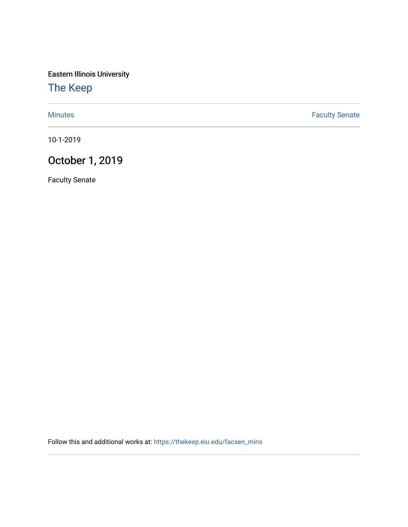Eastern Illinois University

## [The Keep](https://thekeep.eiu.edu/)

[Minutes](https://thekeep.eiu.edu/facsen_mins) **Faculty Senate** 

10-1-2019

# October 1, 2019

Faculty Senate

Follow this and additional works at: [https://thekeep.eiu.edu/facsen\\_mins](https://thekeep.eiu.edu/facsen_mins?utm_source=thekeep.eiu.edu%2Ffacsen_mins%2F1126&utm_medium=PDF&utm_campaign=PDFCoverPages)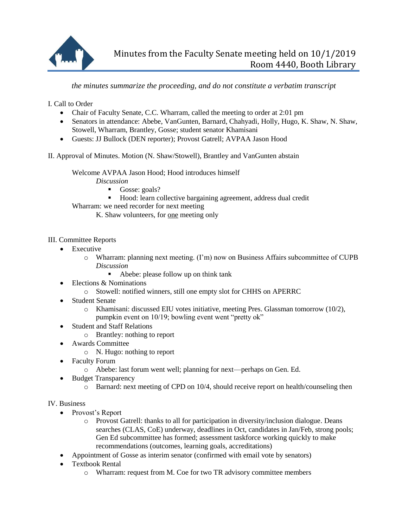

## *the minutes summarize the proceeding, and do not constitute a verbatim transcript*

I. Call to Order

- Chair of Faculty Senate, C.C. Wharram, called the meeting to order at 2:01 pm
- Senators in attendance: Abebe, VanGunten, Barnard, Chahyadi, Holly, Hugo, K. Shaw, N. Shaw, Stowell, Wharram, Brantley, Gosse; student senator Khamisani
- Guests: JJ Bullock (DEN reporter); Provost Gatrell; AVPAA Jason Hood

II. Approval of Minutes. Motion (N. Shaw/Stowell), Brantley and VanGunten abstain

Welcome AVPAA Jason Hood; Hood introduces himself

*Discussion*

- Gosse: goals?
- Hood: learn collective bargaining agreement, address dual credit

Wharram: we need recorder for next meeting

K. Shaw volunteers, for one meeting only

III. Committee Reports

- Executive
	- o Wharram: planning next meeting. (I'm) now on Business Affairs subcommittee of CUPB *Discussion*
		- Abebe: please follow up on think tank
- Elections & Nominations
	- o Stowell: notified winners, still one empty slot for CHHS on APERRC
- Student Senate
	- o Khamisani: discussed EIU votes initiative, meeting Pres. Glassman tomorrow (10/2), pumpkin event on 10/19; bowling event went "pretty ok"
- Student and Staff Relations
	- o Brantley: nothing to report
- Awards Committee
	- o N. Hugo: nothing to report
- Faculty Forum
	- o Abebe: last forum went well; planning for next—perhaps on Gen. Ed.
- Budget Transparency
	- o Barnard: next meeting of CPD on 10/4, should receive report on health/counseling then

#### IV. Business

- Provost's Report
	- o Provost Gatrell: thanks to all for participation in diversity/inclusion dialogue. Deans searches (CLAS, CoE) underway, deadlines in Oct, candidates in Jan/Feb, strong pools; Gen Ed subcommittee has formed; assessment taskforce working quickly to make recommendations (outcomes, learning goals, accreditations)
- Appointment of Gosse as interim senator (confirmed with email vote by senators)
- Textbook Rental
	- o Wharram: request from M. Coe for two TR advisory committee members